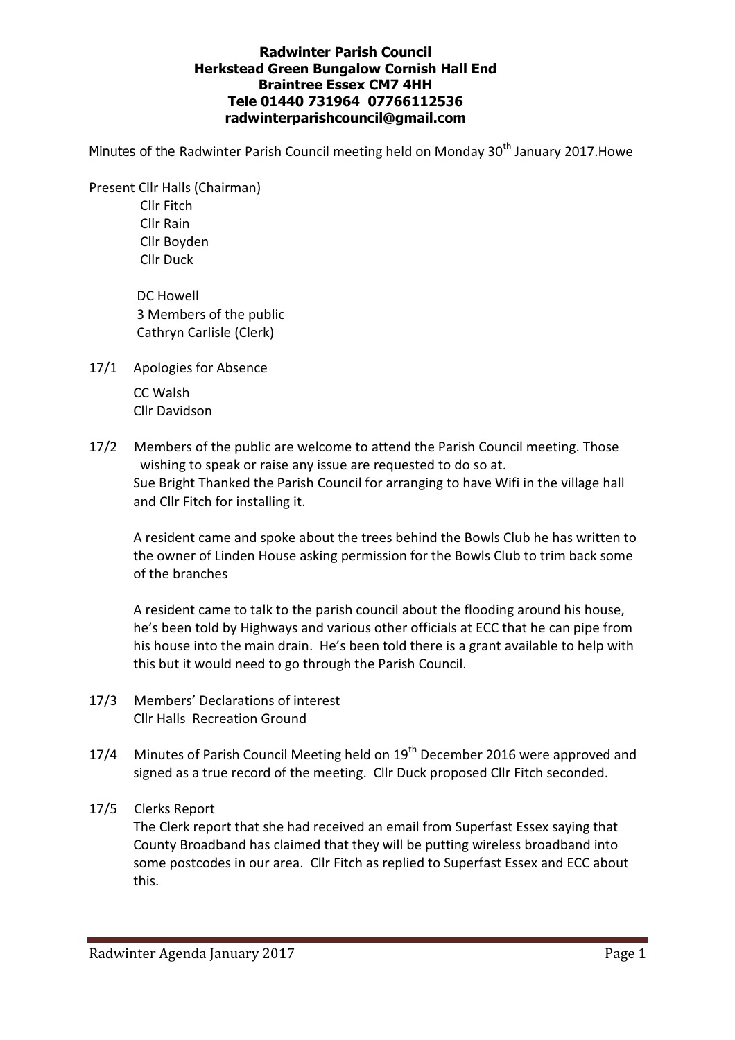## Radwinter Parish Council Herkstead Green Bungalow Cornish Hall End Braintree Essex CM7 4HH Tele 01440 731964 07766112536 radwinterparishcouncil@gmail.com

Minutes of the Radwinter Parish Council meeting held on Monday 30<sup>th</sup> January 2017. Howe

Present Cllr Halls (Chairman) Cllr Fitch Cllr Rain Cllr Boyden

Cllr Duck

 DC Howell 3 Members of the public Cathryn Carlisle (Clerk)

17/1 Apologies for Absence

 CC Walsh Cllr Davidson

17/2 Members of the public are welcome to attend the Parish Council meeting. Those wishing to speak or raise any issue are requested to do so at. Sue Bright Thanked the Parish Council for arranging to have Wifi in the village hall and Cllr Fitch for installing it.

A resident came and spoke about the trees behind the Bowls Club he has written to the owner of Linden House asking permission for the Bowls Club to trim back some of the branches

A resident came to talk to the parish council about the flooding around his house, he's been told by Highways and various other officials at ECC that he can pipe from his house into the main drain. He's been told there is a grant available to help with this but it would need to go through the Parish Council.

- 17/3 Members' Declarations of interest Cllr Halls Recreation Ground
- 17/4 Minutes of Parish Council Meeting held on 19<sup>th</sup> December 2016 were approved and signed as a true record of the meeting. Cllr Duck proposed Cllr Fitch seconded.

# 17/5 Clerks Report

The Clerk report that she had received an email from Superfast Essex saying that County Broadband has claimed that they will be putting wireless broadband into some postcodes in our area. Cllr Fitch as replied to Superfast Essex and ECC about this.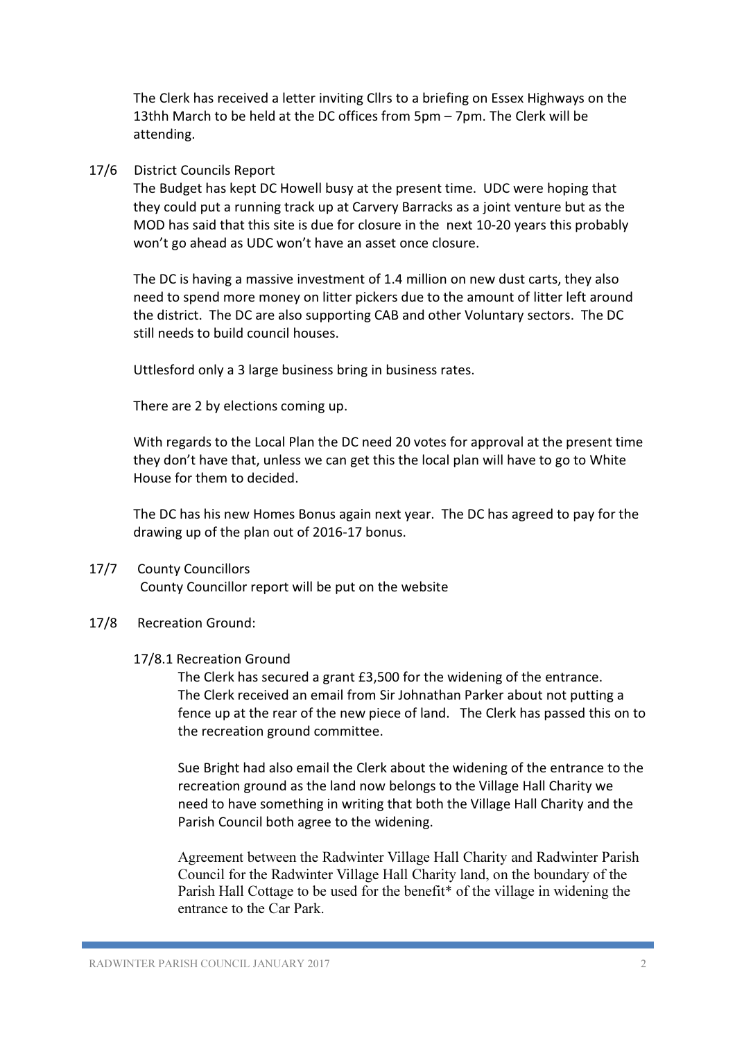The Clerk has received a letter inviting Cllrs to a briefing on Essex Highways on the 13thh March to be held at the DC offices from 5pm – 7pm. The Clerk will be attending.

## 17/6 District Councils Report

The Budget has kept DC Howell busy at the present time. UDC were hoping that they could put a running track up at Carvery Barracks as a joint venture but as the MOD has said that this site is due for closure in the next 10-20 years this probably won't go ahead as UDC won't have an asset once closure.

The DC is having a massive investment of 1.4 million on new dust carts, they also need to spend more money on litter pickers due to the amount of litter left around the district. The DC are also supporting CAB and other Voluntary sectors. The DC still needs to build council houses.

Uttlesford only a 3 large business bring in business rates.

There are 2 by elections coming up.

With regards to the Local Plan the DC need 20 votes for approval at the present time they don't have that, unless we can get this the local plan will have to go to White House for them to decided.

The DC has his new Homes Bonus again next year. The DC has agreed to pay for the drawing up of the plan out of 2016-17 bonus.

#### 17/7 County Councillors

County Councillor report will be put on the website

#### 17/8 Recreation Ground:

#### 17/8.1 Recreation Ground

 The Clerk has secured a grant £3,500 for the widening of the entrance. The Clerk received an email from Sir Johnathan Parker about not putting a fence up at the rear of the new piece of land. The Clerk has passed this on to the recreation ground committee.

Sue Bright had also email the Clerk about the widening of the entrance to the recreation ground as the land now belongs to the Village Hall Charity we need to have something in writing that both the Village Hall Charity and the Parish Council both agree to the widening.

Agreement between the Radwinter Village Hall Charity and Radwinter Parish Council for the Radwinter Village Hall Charity land, on the boundary of the Parish Hall Cottage to be used for the benefit\* of the village in widening the entrance to the Car Park.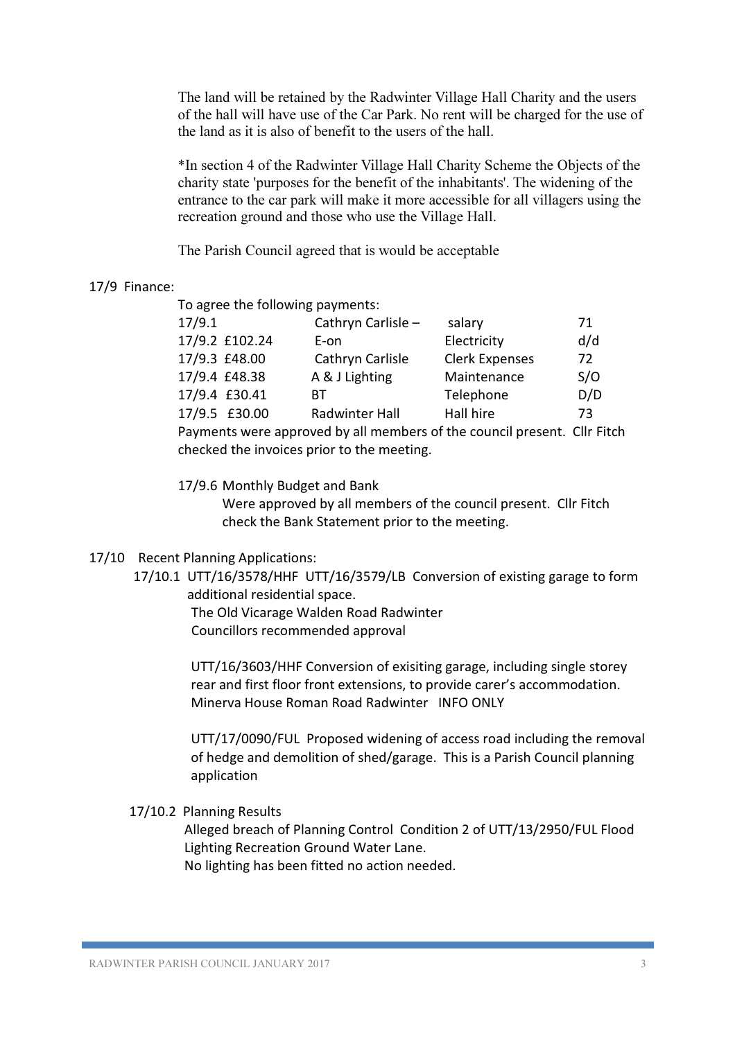The land will be retained by the Radwinter Village Hall Charity and the users of the hall will have use of the Car Park. No rent will be charged for the use of the land as it is also of benefit to the users of the hall.

\*In section 4 of the Radwinter Village Hall Charity Scheme the Objects of the charity state 'purposes for the benefit of the inhabitants'. The widening of the entrance to the car park will make it more accessible for all villagers using the recreation ground and those who use the Village Hall.

The Parish Council agreed that is would be acceptable

## 17/9 Finance:

To agree the following payments:

| 17/9.1                                                                   | Cathryn Carlisle - | salary                | 71  |
|--------------------------------------------------------------------------|--------------------|-----------------------|-----|
| 17/9.2 £102.24                                                           | E-on               | Electricity           | d/d |
| 17/9.3 £48.00                                                            | Cathryn Carlisle   | <b>Clerk Expenses</b> | 72  |
| 17/9.4 £48.38                                                            | A & J Lighting     | Maintenance           | S/O |
| 17/9.4 £30.41                                                            | BТ                 | Telephone             | D/D |
| 17/9.5 £30.00                                                            | Radwinter Hall     | Hall hire             | 73  |
| Payments were approved by all members of the council present. Cllr Fitch |                    |                       |     |

checked the invoices prior to the meeting.

17/9.6 Monthly Budget and Bank

Were approved by all members of the council present. Cllr Fitch check the Bank Statement prior to the meeting.

## 17/10 Recent Planning Applications:

17/10.1 UTT/16/3578/HHF UTT/16/3579/LB Conversion of existing garage to form additional residential space.

> The Old Vicarage Walden Road Radwinter Councillors recommended approval

UTT/16/3603/HHF Conversion of exisiting garage, including single storey rear and first floor front extensions, to provide carer's accommodation. Minerva House Roman Road Radwinter INFO ONLY

UTT/17/0090/FUL Proposed widening of access road including the removal of hedge and demolition of shed/garage. This is a Parish Council planning application

17/10.2 Planning Results

Alleged breach of Planning Control Condition 2 of UTT/13/2950/FUL Flood Lighting Recreation Ground Water Lane.

No lighting has been fitted no action needed.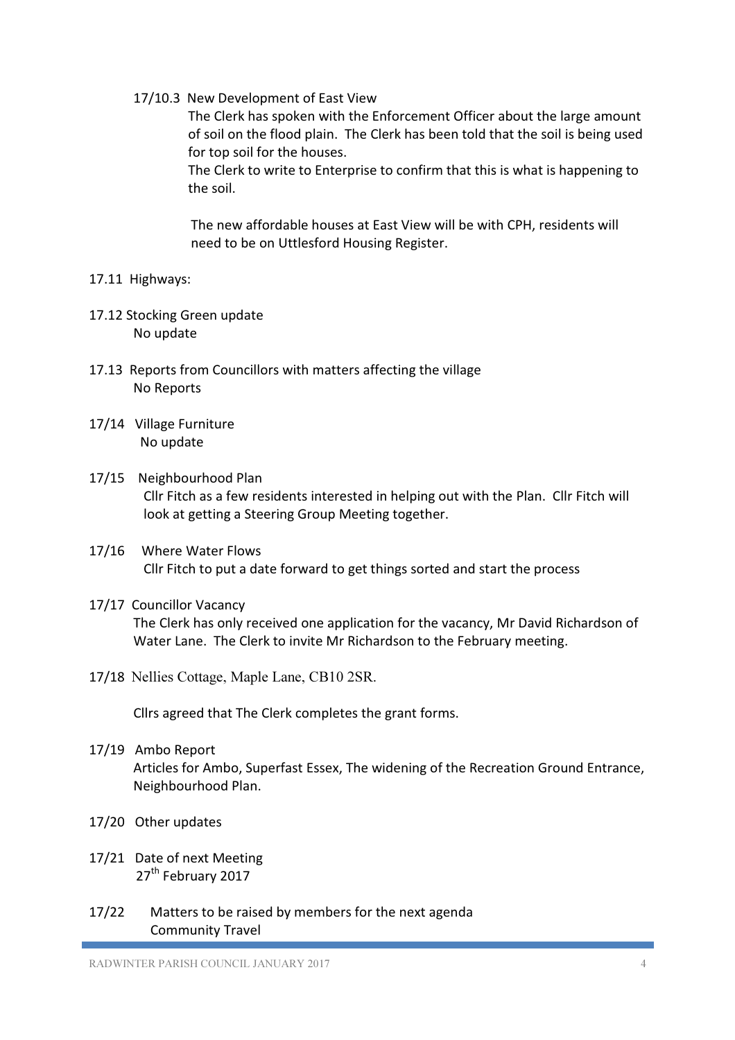17/10.3 New Development of East View

The Clerk has spoken with the Enforcement Officer about the large amount of soil on the flood plain. The Clerk has been told that the soil is being used for top soil for the houses.

The Clerk to write to Enterprise to confirm that this is what is happening to the soil.

The new affordable houses at East View will be with CPH, residents will need to be on Uttlesford Housing Register.

## 17.11 Highways:

- 17.12 Stocking Green update No update
- 17.13 Reports from Councillors with matters affecting the village No Reports
- 17/14 Village Furniture No update
- 17/15 Neighbourhood Plan Cllr Fitch as a few residents interested in helping out with the Plan. Cllr Fitch will look at getting a Steering Group Meeting together.
- 17/16 Where Water Flows Cllr Fitch to put a date forward to get things sorted and start the process
- 17/17 Councillor Vacancy The Clerk has only received one application for the vacancy, Mr David Richardson of Water Lane. The Clerk to invite Mr Richardson to the February meeting.
- 17/18 Nellies Cottage, Maple Lane, CB10 2SR.

Cllrs agreed that The Clerk completes the grant forms.

- 17/19 Ambo Report Articles for Ambo, Superfast Essex, The widening of the Recreation Ground Entrance, Neighbourhood Plan.
- 17/20 Other updates
- 17/21 Date of next Meeting 27<sup>th</sup> February 2017
- 17/22 Matters to be raised by members for the next agenda Community Travel